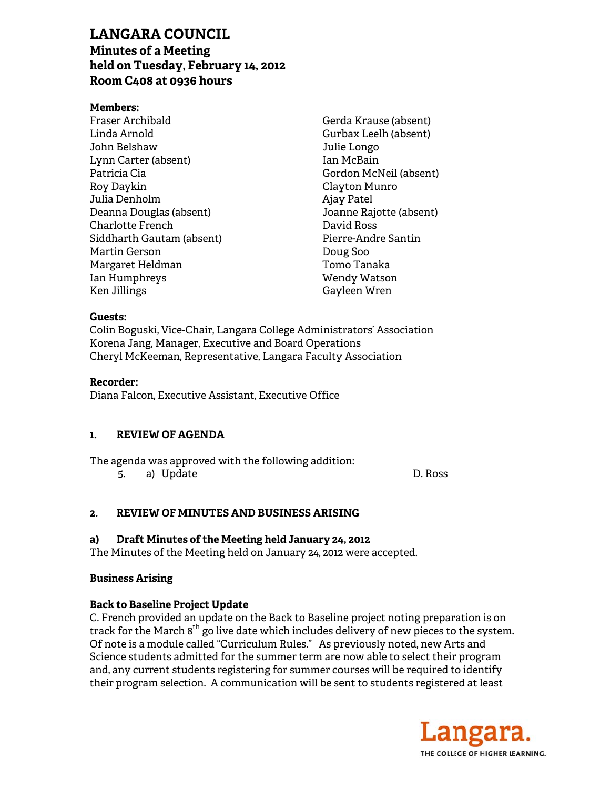# **LANGARA COUNCIL**

**Minutes of a Meeting** held on Tuesday, February 14, 2012 Room C408 at 0936 hours

#### **Members:**

Fraser Archibald Linda Arnold John Belshaw Lynn Carter (absent) Patricia Cia Roy Daykin Julia Denholm Deanna Douglas (absent) Charlotte French Siddharth Gautam (absent) Martin Gerson Margaret Heldman Ian Humphreys Ken Jillings

Gerda Krause (absent) Gurbax Leelh (absent) Julie Longo Ian McBain Gordon McNeil (absent) Clayton Munro Ajay Patel Joanne Rajotte (absent) David Ross Pierre-Andre Santin Doug Soo Tomo Tanaka Wendy Watson Gayleen Wren

#### Guests:

Colin Boguski, Vice-Chair, Langara College Administrators' Association Korena Jang, Manager, Executive and Board Operations Cheryl McKeeman, Representative, Langara Faculty Association

#### **Recorder:**

Diana Falcon, Executive Assistant, Executive Office

#### **REVIEW OF AGENDA**  $\mathbf{1}$ .

The agenda was approved with the following addition:

 $5.$ a) Update D. Ross

#### **REVIEW OF MINUTES AND BUSINESS ARISING**  $2.$

#### Draft Minutes of the Meeting held January 24, 2012 a)

The Minutes of the Meeting held on January 24, 2012 were accepted.

#### **Business Arising**

#### **Back to Baseline Project Update**

C. French provided an update on the Back to Baseline project noting preparation is on track for the March 8<sup>th</sup> go live date which includes delivery of new pieces to the system. Of note is a module called "Curriculum Rules." As previously noted, new Arts and Science students admitted for the summer term are now able to select their program and, any current students registering for summer courses will be required to identify their program selection. A communication will be sent to students registered at least

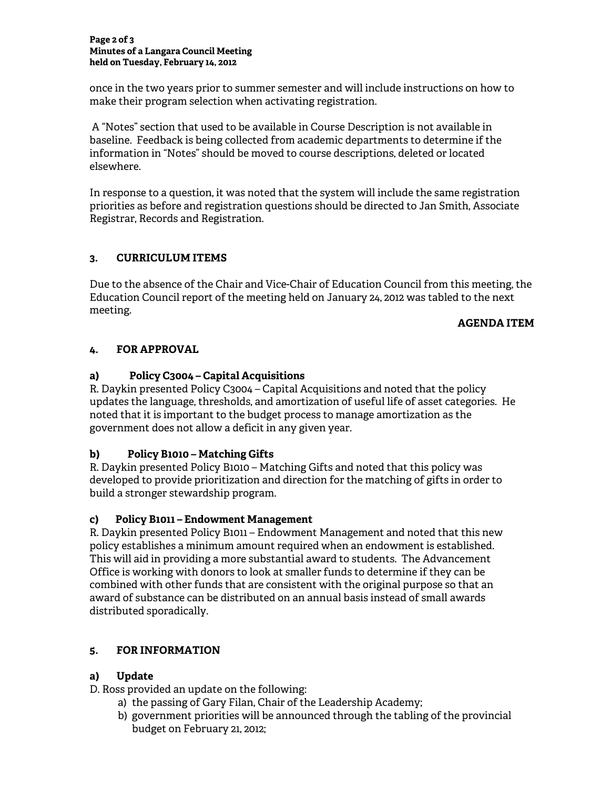once in the two years prior to summer semester and will include instructions on how to make their program selection when activating registration.

 A "Notes" section that used to be available in Course Description is not available in baseline. Feedback is being collected from academic departments to determine if the information in "Notes" should be moved to course descriptions, deleted or located elsewhere.

In response to a question, it was noted that the system will include the same registration priorities as before and registration questions should be directed to Jan Smith, Associate Registrar, Records and Registration.

## **3. CURRICULUM ITEMS**

Due to the absence of the Chair and Vice-Chair of Education Council from this meeting, the Education Council report of the meeting held on January 24, 2012 was tabled to the next meeting.

#### **AGENDA ITEM**

## **4. FOR APPROVAL**

## **a) Policy C3004 – Capital Acquisitions**

R. Daykin presented Policy C3004 – Capital Acquisitions and noted that the policy updates the language, thresholds, and amortization of useful life of asset categories. He noted that it is important to the budget process to manage amortization as the government does not allow a deficit in any given year.

## **b) Policy B1010 – Matching Gifts**

R. Daykin presented Policy B1010 – Matching Gifts and noted that this policy was developed to provide prioritization and direction for the matching of gifts in order to build a stronger stewardship program.

## **c) Policy B1011 – Endowment Management**

R. Daykin presented Policy B1011 – Endowment Management and noted that this new policy establishes a minimum amount required when an endowment is established. This will aid in providing a more substantial award to students. The Advancement Office is working with donors to look at smaller funds to determine if they can be combined with other funds that are consistent with the original purpose so that an award of substance can be distributed on an annual basis instead of small awards distributed sporadically.

## **5. FOR INFORMATION**

## **a) Update**

D. Ross provided an update on the following:

- a) the passing of Gary Filan, Chair of the Leadership Academy;
- b) government priorities will be announced through the tabling of the provincial budget on February 21, 2012;